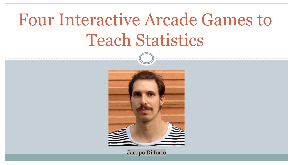# Four Interactive Arcade Games to Teach Statistics



Jacopo Di Iorio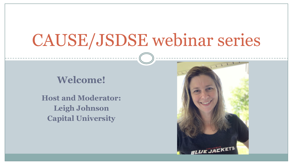# CAUSE/JSDSE webinar series

### **Welcome!**

**Host and Moderator: Leigh Johnson Capital University**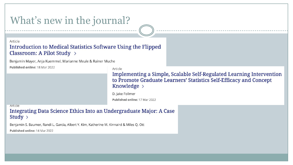### What's new in the journal?

#### Article Introduction to Medical Statistics Software Using the Flipped Classroom: A Pilot Study >

Benjamin Mayer, Anja Kuemmel, Marianne Meule & Rainer Muche

Published online: 18 Mar 2022

Article

Implementing a Simple, Scalable Self-Regulated Learning Intervention to Promote Graduate Learners' Statistics Self-Efficacy and Concept Knowledge >

D. Jake Follmer

Published online: 17 Mar 2022

#### **Article**

Integrating Data Science Ethics Into an Undergraduate Major: A Case Study  $>$ 

Benjamin S. Baumer, Randi L. Garcia, Albert Y. Kim, Katherine M. Kinnaird & Miles Q. Ott

Published online: 14 Mar 2022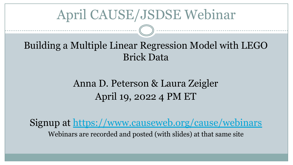## April CAUSE/JSDSE Webinar

## Building a Multiple Linear Regression Model with LEGO Brick Data

## Anna D. Peterson & Laura Zeigler April 19, 2022 4 PM ET

Signup at<https://www.causeweb.org/cause/webinars> Webinars are recorded and posted (with slides) at that same site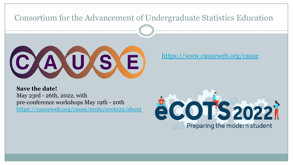### Consortium for the Advancement of Undergraduate Statistics Education



<https://www.causeweb.org/cause>

**Save the date!** May 23rd - 26th, 2022, with pre-conference workshops May 19th - 20th <https://causeweb.org/cause/ecots/ecots22/about>

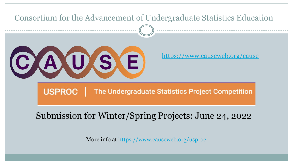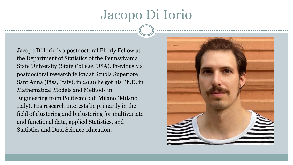# Jacopo Di Iorio

Jacopo Di Iorio is a postdoctoral Eberly Fellow at the Department of Statistics of the Pennsylvania State University (State College, USA). Previously a postdoctoral research fellow at Scuola Superiore Sant'Anna (Pisa, Italy), in 2020 he got his Ph.D. in Mathematical Models and Methods in Engineering from Politecnico di Milano (Milano, Italy). His research interests lie primarily in the field of clustering and biclustering for multivariate and functional data, applied Statistics, and Statistics and Data Science education.

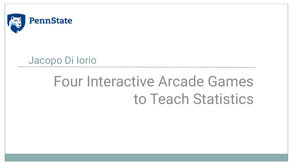

## Jacopo Di Iorio

# Four Interactive Arcade Games to Teach Statistics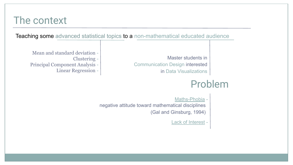### The context

Teaching some advanced statistical topics to a non-mathematical educated audience

Master students in Communication Design interested in Data Visualizations

Mean and standard deviation - Clustering - Principal Component Analysis - Linear Regression -

## Problem

Maths-Phobia negative attitude toward mathematical disciplines (Gal and Ginsburg, 1994)

Lack of Interest -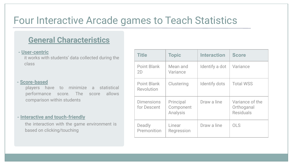### Four Interactive Arcade games to Teach Statistics

### **General Characteristics**

#### **- User-centric**

it works with students' data collected during the class

#### **- Score-based**

players have to minimize a statistical performance score. The score allows comparison within students

#### **- Interactive and touch-friendly**

the interaction with the game environment is based on clicking/touching

| <b>Title</b>                     | <b>Topic</b>                       | <b>Interaction</b> | <b>Score</b>                                      |
|----------------------------------|------------------------------------|--------------------|---------------------------------------------------|
| Point Blank<br>2D                | Mean and<br>Variance               | Identify a dot     | Variance                                          |
| Point Blank<br>Revolution        | Clustering                         | Identify dots      | <b>Total WSS</b>                                  |
| <b>Dimensions</b><br>for Descent | Principal<br>Component<br>Analysis | Draw a line        | Variance of the<br>Orthoganal<br><b>Residuals</b> |
| Deadly<br>Premonition            | Linear<br>Regression               | Draw a line        | OLS                                               |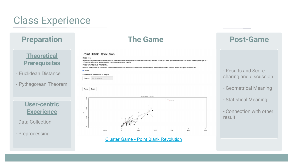### Class Experience

### **Preparation**

### **Theoretical Prerequisites**

- Euclidean Distance
- Pythagorean Theorem



- Data Collection
- Preprocessing



#### **Point Blank Revolution**

**MISSION** 

Play now or load your data in the form below. Click the plot multiple times to identify new points and then click the 'Ready!' button to visualize your score. Try to minimize the score with one, two and three points. Try t with more than three points. What is happening when increasing the number of points?

IF YOU WANT TO LOAD YOUR DATA..

Check the box if your data file has a header. Choose a CSV File with at least two numerical columns and then click on the plot. If there are more than two numerical columns the app will use the first two

**D** Header

#### Choose a CSV file and click on the plot

Browse... No file selected

Ready! Reset!



#### [Cluster Game - Point Blank Revolution](http://htgaws.shinyapps.io/pointblankrevolution/)



- Results and Score sharing and discussion

- Geometrical Meaning
- Statistical Meaning
- Connection with other result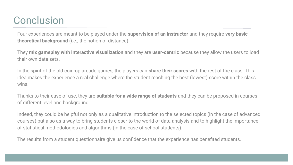### **Conclusion**

Four experiences are meant to be played under the **supervision of an instructor** and they require **very basic theoretical background** (i.e., the notion of distance).

They **mix gameplay with interactive visualization** and they are **user-centric** because they allow the users to load their own data sets.

In the spirit of the old coin-op arcade games, the players can **share their scores** with the rest of the class. This idea makes the experience a real challenge where the student reaching the best (lowest) score within the class wins.

Thanks to their ease of use, they are **suitable for a wide range of students** and they can be proposed in courses of different level and background.

Indeed, they could be helpful not only as a qualitative introduction to the selected topics (in the case of advanced courses) but also as a way to bring students closer to the world of data analysis and to highlight the importance of statistical methodologies and algorithms (in the case of school students).

The results from a student questionnaire give us confidence that the experience has benefited students.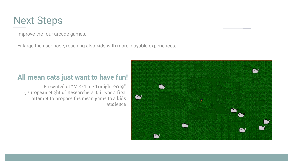### Next Steps

Improve the four arcade games.

Enlarge the user base, reaching also **kids** with more playable experiences.

### **All mean cats just want to have fun!**

Presented at "MEETme Tonight 2019" (European Night of Researchers"), it was a first attempt to propose the mean game to a kids audience